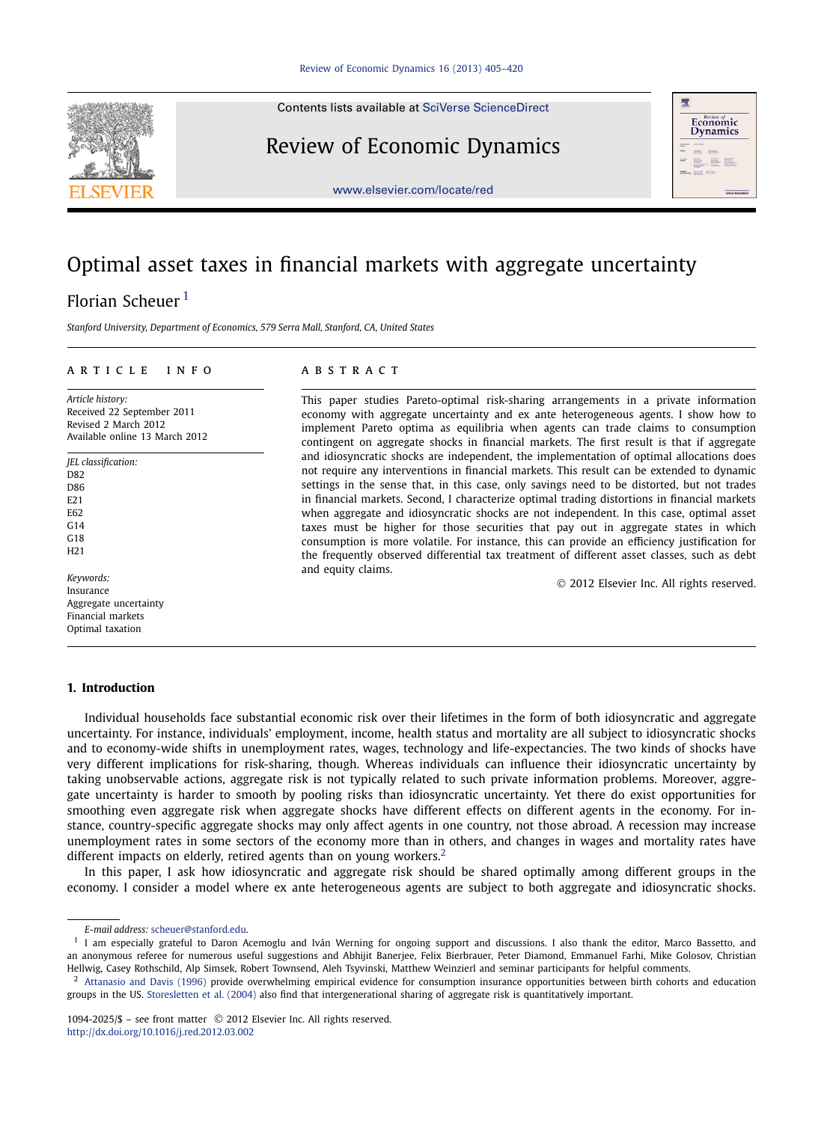Contents lists available at [SciVerse ScienceDirect](http://www.ScienceDirect.com/)

Review of Economic Dynamics



[www.elsevier.com/locate/red](http://www.elsevier.com/locate/red)

## Optimal asset taxes in financial markets with aggregate uncertainty

## Florian Scheuer <sup>1</sup>

*Stanford University, Department of Economics, 579 Serra Mall, Stanford, CA, United States*

### article info abstract

*Article history:* Received 22 September 2011 Revised 2 March 2012 Available online 13 March 2012

*JEL classification:* D82 D86 E21 E62  $G14$ G18 H21

*Keywords:* Insurance Aggregate uncertainty Financial markets Optimal taxation

### **1. Introduction**

This paper studies Pareto-optimal risk-sharing arrangements in a private information economy with aggregate uncertainty and ex ante heterogeneous agents. I show how to implement Pareto optima as equilibria when agents can trade claims to consumption contingent on aggregate shocks in financial markets. The first result is that if aggregate and idiosyncratic shocks are independent, the implementation of optimal allocations does not require any interventions in financial markets. This result can be extended to dynamic settings in the sense that, in this case, only savings need to be distorted, but not trades in financial markets. Second, I characterize optimal trading distortions in financial markets when aggregate and idiosyncratic shocks are not independent. In this case, optimal asset taxes must be higher for those securities that pay out in aggregate states in which consumption is more volatile. For instance, this can provide an efficiency justification for the frequently observed differential tax treatment of different asset classes, such as debt and equity claims.

© 2012 Elsevier Inc. All rights reserved.

Individual households face substantial economic risk over their lifetimes in the form of both idiosyncratic and aggregate uncertainty. For instance, individuals' employment, income, health status and mortality are all subject to idiosyncratic shocks and to economy-wide shifts in unemployment rates, wages, technology and life-expectancies. The two kinds of shocks have very different implications for risk-sharing, though. Whereas individuals can influence their idiosyncratic uncertainty by taking unobservable actions, aggregate risk is not typically related to such private information problems. Moreover, aggregate uncertainty is harder to smooth by pooling risks than idiosyncratic uncertainty. Yet there do exist opportunities for smoothing even aggregate risk when aggregate shocks have different effects on different agents in the economy. For instance, country-specific aggregate shocks may only affect agents in one country, not those abroad. A recession may increase unemployment rates in some sectors of the economy more than in others, and changes in wages and mortality rates have different impacts on elderly, retired agents than on young workers. $2$ 

In this paper, I ask how idiosyncratic and aggregate risk should be shared optimally among different groups in the economy. I consider a model where ex ante heterogeneous agents are subject to both aggregate and idiosyncratic shocks.

*E-mail address:* [scheuer@stanford.edu](mailto:scheuer@stanford.edu).

<sup>&</sup>lt;sup>1</sup> I am especially grateful to Daron Acemoglu and Iván Werning for ongoing support and discussions. I also thank the editor, Marco Bassetto, and an anonymous referee for numerous useful suggestions and Abhijit Banerjee, Felix Bierbrauer, Peter Diamond, Emmanuel Farhi, Mike Golosov, Christian Hellwig, Casey Rothschild, Alp Simsek, Robert Townsend, Aleh Tsyvinski, Matthew Weinzierl and seminar participants for helpful comments.

 $<sup>2</sup>$  [Attanasio and Davis \(1996\)](#page--1-0) provide overwhelming empirical evidence for consumption insurance opportunities between birth cohorts and education</sup> groups in the US. [Storesletten et al. \(2004\)](#page--1-0) also find that intergenerational sharing of aggregate risk is quantitatively important.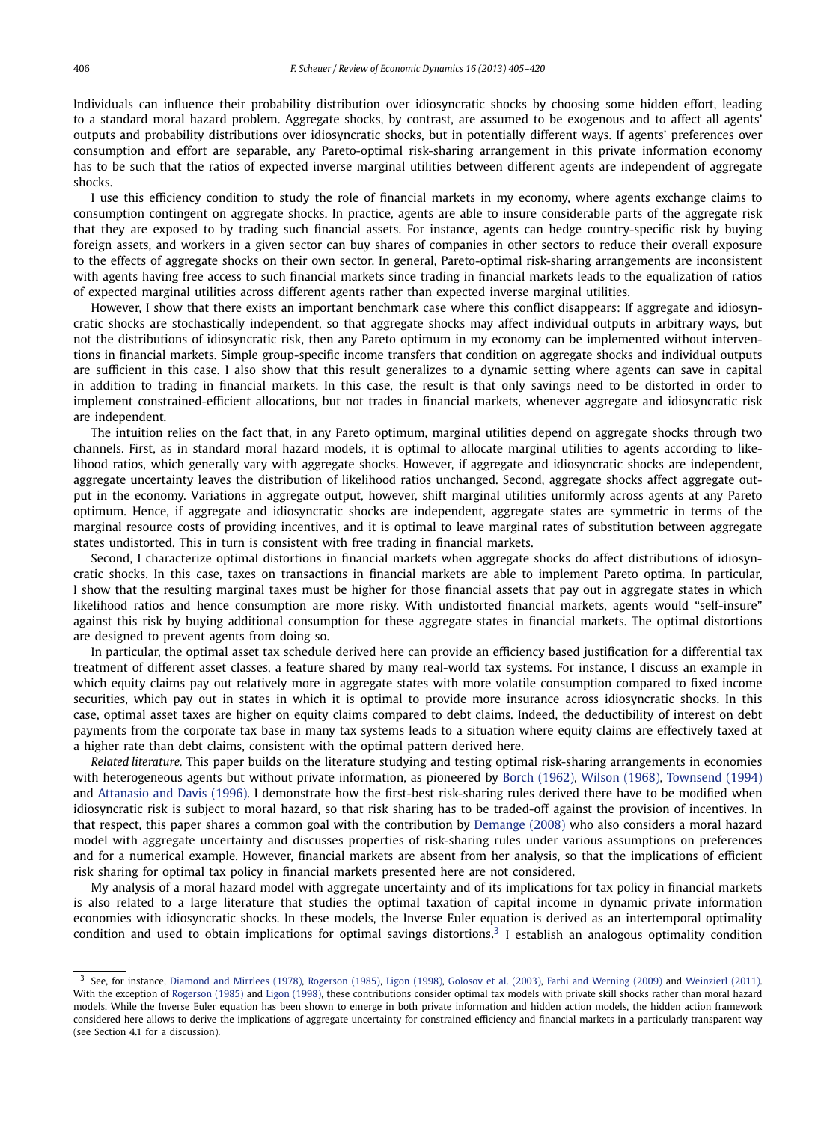Individuals can influence their probability distribution over idiosyncratic shocks by choosing some hidden effort, leading to a standard moral hazard problem. Aggregate shocks, by contrast, are assumed to be exogenous and to affect all agents' outputs and probability distributions over idiosyncratic shocks, but in potentially different ways. If agents' preferences over consumption and effort are separable, any Pareto-optimal risk-sharing arrangement in this private information economy has to be such that the ratios of expected inverse marginal utilities between different agents are independent of aggregate shocks.

I use this efficiency condition to study the role of financial markets in my economy, where agents exchange claims to consumption contingent on aggregate shocks. In practice, agents are able to insure considerable parts of the aggregate risk that they are exposed to by trading such financial assets. For instance, agents can hedge country-specific risk by buying foreign assets, and workers in a given sector can buy shares of companies in other sectors to reduce their overall exposure to the effects of aggregate shocks on their own sector. In general, Pareto-optimal risk-sharing arrangements are inconsistent with agents having free access to such financial markets since trading in financial markets leads to the equalization of ratios of expected marginal utilities across different agents rather than expected inverse marginal utilities.

However, I show that there exists an important benchmark case where this conflict disappears: If aggregate and idiosyncratic shocks are stochastically independent, so that aggregate shocks may affect individual outputs in arbitrary ways, but not the distributions of idiosyncratic risk, then any Pareto optimum in my economy can be implemented without interventions in financial markets. Simple group-specific income transfers that condition on aggregate shocks and individual outputs are sufficient in this case. I also show that this result generalizes to a dynamic setting where agents can save in capital in addition to trading in financial markets. In this case, the result is that only savings need to be distorted in order to implement constrained-efficient allocations, but not trades in financial markets, whenever aggregate and idiosyncratic risk are independent.

The intuition relies on the fact that, in any Pareto optimum, marginal utilities depend on aggregate shocks through two channels. First, as in standard moral hazard models, it is optimal to allocate marginal utilities to agents according to likelihood ratios, which generally vary with aggregate shocks. However, if aggregate and idiosyncratic shocks are independent, aggregate uncertainty leaves the distribution of likelihood ratios unchanged. Second, aggregate shocks affect aggregate output in the economy. Variations in aggregate output, however, shift marginal utilities uniformly across agents at any Pareto optimum. Hence, if aggregate and idiosyncratic shocks are independent, aggregate states are symmetric in terms of the marginal resource costs of providing incentives, and it is optimal to leave marginal rates of substitution between aggregate states undistorted. This in turn is consistent with free trading in financial markets.

Second, I characterize optimal distortions in financial markets when aggregate shocks do affect distributions of idiosyncratic shocks. In this case, taxes on transactions in financial markets are able to implement Pareto optima. In particular, I show that the resulting marginal taxes must be higher for those financial assets that pay out in aggregate states in which likelihood ratios and hence consumption are more risky. With undistorted financial markets, agents would "self-insure" against this risk by buying additional consumption for these aggregate states in financial markets. The optimal distortions are designed to prevent agents from doing so.

In particular, the optimal asset tax schedule derived here can provide an efficiency based justification for a differential tax treatment of different asset classes, a feature shared by many real-world tax systems. For instance, I discuss an example in which equity claims pay out relatively more in aggregate states with more volatile consumption compared to fixed income securities, which pay out in states in which it is optimal to provide more insurance across idiosyncratic shocks. In this case, optimal asset taxes are higher on equity claims compared to debt claims. Indeed, the deductibility of interest on debt payments from the corporate tax base in many tax systems leads to a situation where equity claims are effectively taxed at a higher rate than debt claims, consistent with the optimal pattern derived here.

*Related literature.* This paper builds on the literature studying and testing optimal risk-sharing arrangements in economies with heterogeneous agents but without private information, as pioneered by [Borch \(1962\),](#page--1-0) [Wilson \(1968\),](#page--1-0) [Townsend \(1994\)](#page--1-0) and [Attanasio and Davis \(1996\).](#page--1-0) I demonstrate how the first-best risk-sharing rules derived there have to be modified when idiosyncratic risk is subject to moral hazard, so that risk sharing has to be traded-off against the provision of incentives. In that respect, this paper shares a common goal with the contribution by [Demange \(2008\)](#page--1-0) who also considers a moral hazard model with aggregate uncertainty and discusses properties of risk-sharing rules under various assumptions on preferences and for a numerical example. However, financial markets are absent from her analysis, so that the implications of efficient risk sharing for optimal tax policy in financial markets presented here are not considered.

My analysis of a moral hazard model with aggregate uncertainty and of its implications for tax policy in financial markets is also related to a large literature that studies the optimal taxation of capital income in dynamic private information economies with idiosyncratic shocks. In these models, the Inverse Euler equation is derived as an intertemporal optimality condition and used to obtain implications for optimal savings distortions.<sup>3</sup> I establish an analogous optimality condition

<sup>&</sup>lt;sup>3</sup> See, for instance, [Diamond and Mirrlees \(1978\),](#page--1-0) [Rogerson \(1985\),](#page--1-0) [Ligon \(1998\),](#page--1-0) [Golosov et al. \(2003\),](#page--1-0) [Farhi and Werning \(2009\)](#page--1-0) and [Weinzierl \(2011\).](#page--1-0) With the exception of [Rogerson \(1985\)](#page--1-0) and [Ligon \(1998\),](#page--1-0) these contributions consider optimal tax models with private skill shocks rather than moral hazard models. While the Inverse Euler equation has been shown to emerge in both private information and hidden action models, the hidden action framework considered here allows to derive the implications of aggregate uncertainty for constrained efficiency and financial markets in a particularly transparent way (see Section 4.1 for a discussion).